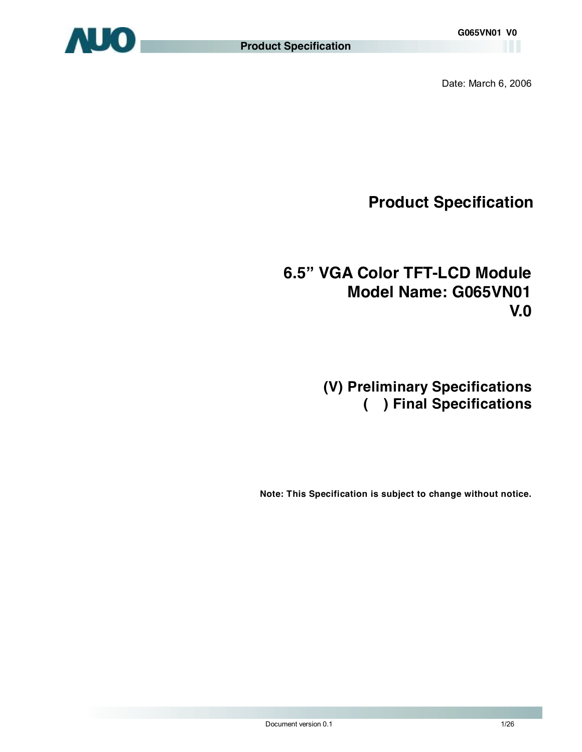

Date: March 6, 2006

**Product Specification** 

# **6.5" VGA Color TFT-LCD Module Model Name: G065VN01 V.0**

# **(V) Preliminary Specifications ( ) Final Specifications**

 **Note: This Specification is subject to change without notice.**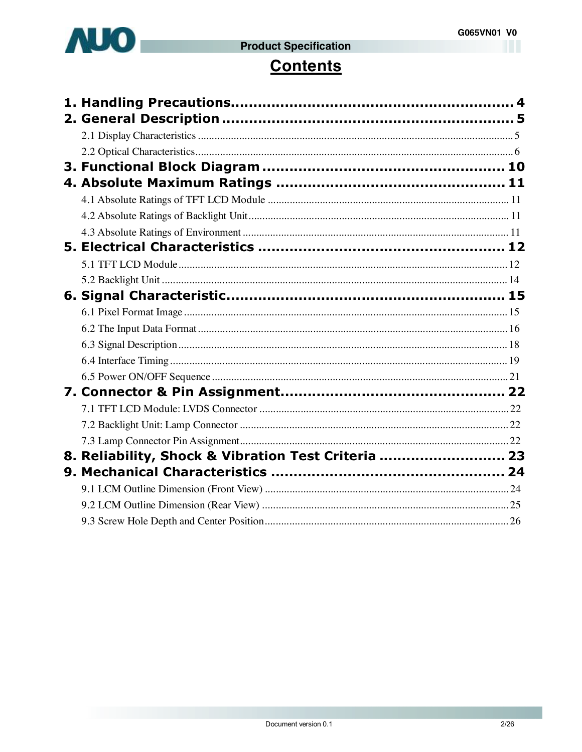

# **Contents**

| 8. Reliability, Shock & Vibration Test Criteria  23 |  |
|-----------------------------------------------------|--|
|                                                     |  |
|                                                     |  |
|                                                     |  |
|                                                     |  |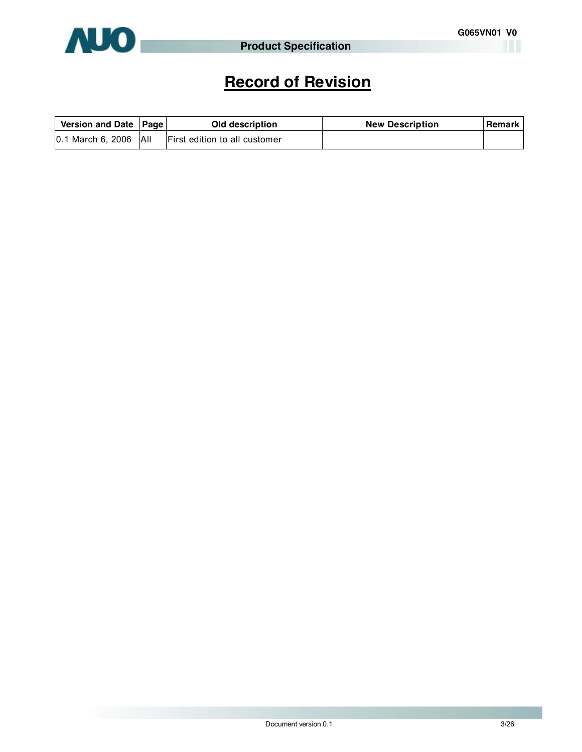

# **Record of Revision**

| Version and Date   Page |            | Old description               | <b>New Description</b> | Remark |
|-------------------------|------------|-------------------------------|------------------------|--------|
| $ 0.1$ March 6, 2006    | <b>All</b> | First edition to all customer |                        |        |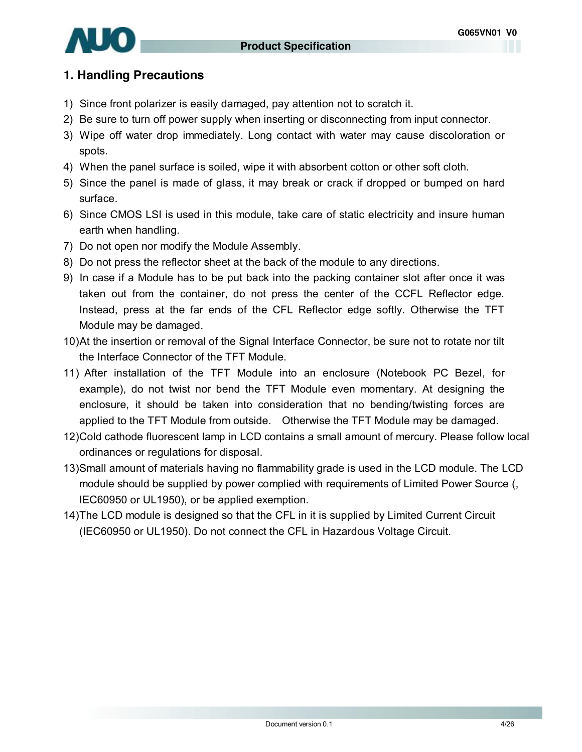

### **1. Handling Precautions**

- 1) Since front polarizer is easily damaged, pay attention not to scratch it.
- 2) Be sure to turn off power supply when inserting or disconnecting from input connector.
- 3) Wipe off water drop immediately. Long contact with water may cause discoloration or spots.
- 4) When the panel surface is soiled, wipe it with absorbent cotton or other soft cloth.
- 5) Since the panel is made of glass, it may break or crack if dropped or bumped on hard surface.
- 6) Since CMOS LSI is used in this module, take care of static electricity and insure human earth when handling.
- 7) Do not open nor modify the Module Assembly.
- 8) Do not press the reflector sheet at the back of the module to any directions.
- 9) In case if a Module has to be put back into the packing container slot after once it was taken out from the container, do not press the center of the CCFL Reflector edge. Instead, press at the far ends of the CFL Reflector edge softly. Otherwise the TFT Module may be damaged.
- 10)At the insertion or removal of the Signal Interface Connector, be sure not to rotate nor tilt the Interface Connector of the TFT Module.
- 11) After installation of the TFT Module into an enclosure (Notebook PC Bezel, for example), do not twist nor bend the TFT Module even momentary. At designing the enclosure, it should be taken into consideration that no bending/twisting forces are applied to the TFT Module from outside. Otherwise the TFT Module may be damaged.
- 12)Cold cathode fluorescent lamp in LCD contains a small amount of mercury. Please follow local ordinances or regulations for disposal.
- 13)Small amount of materials having no flammability grade is used in the LCD module. The LCD module should be supplied by power complied with requirements of Limited Power Source (, IEC60950 or UL1950), or be applied exemption.
- 14)The LCD module is designed so that the CFL in it is supplied by Limited Current Circuit (IEC60950 or UL1950). Do not connect the CFL in Hazardous Voltage Circuit.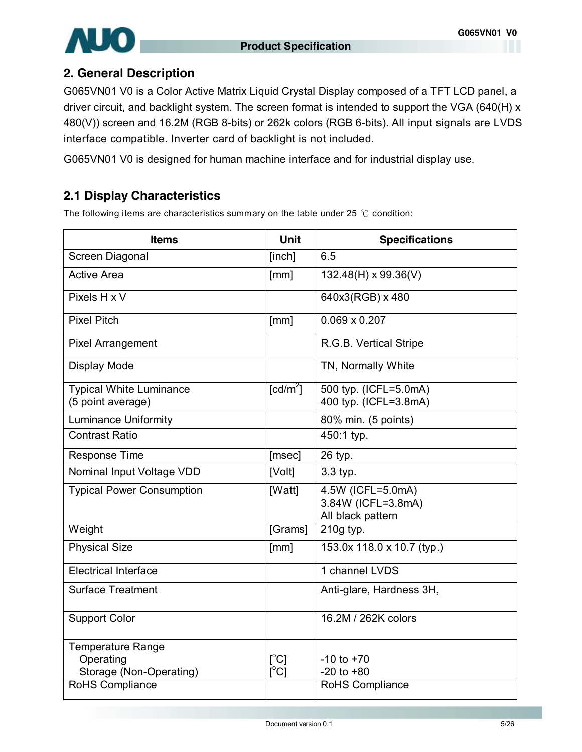

## **2. General Description**

G065VN01 V0 is a Color Active Matrix Liquid Crystal Display composed of a TFT LCD panel, a driver circuit, and backlight system. The screen format is intended to support the VGA (640(H) x 480(V)) screen and 16.2M (RGB 8-bits) or 262k colors (RGB 6-bits). All input signals are LVDS interface compatible. Inverter card of backlight is not included.

G065VN01 V0 is designed for human machine interface and for industrial display use.

# **2.1 Display Characteristics**

The following items are characteristics summary on the table under 25 ℃ condition:

| <b>Items</b>                                              | Unit                                     | <b>Specifications</b>                                        |
|-----------------------------------------------------------|------------------------------------------|--------------------------------------------------------------|
| Screen Diagonal                                           | [inch]                                   | 6.5                                                          |
| <b>Active Area</b>                                        | [mm]                                     | 132.48(H) x 99.36(V)                                         |
| Pixels H x V                                              |                                          | 640x3(RGB) x 480                                             |
| <b>Pixel Pitch</b>                                        | [mm]                                     | $0.069 \times 0.207$                                         |
| <b>Pixel Arrangement</b>                                  |                                          | R.G.B. Vertical Stripe                                       |
| Display Mode                                              |                                          | TN, Normally White                                           |
| <b>Typical White Luminance</b><br>(5 point average)       | $\lceil cd/m^2 \rceil$                   | 500 typ. (ICFL=5.0mA)<br>400 typ. (ICFL=3.8mA)               |
| <b>Luminance Uniformity</b>                               |                                          | 80% min. (5 points)                                          |
| Contrast Ratio                                            |                                          | 450:1 typ.                                                   |
| <b>Response Time</b>                                      | [msec]                                   | 26 typ.                                                      |
| Nominal Input Voltage VDD                                 | [Volt]                                   | 3.3 typ.                                                     |
| <b>Typical Power Consumption</b>                          | [Watt]                                   | 4.5W (ICFL=5.0mA)<br>3.84W (ICFL=3.8mA)<br>All black pattern |
| Weight                                                    | [Grams]                                  | 210g typ.                                                    |
| <b>Physical Size</b>                                      | [mm]                                     | 153.0x 118.0 x 10.7 (typ.)                                   |
| <b>Electrical Interface</b>                               |                                          | 1 channel LVDS                                               |
| <b>Surface Treatment</b>                                  |                                          | Anti-glare, Hardness 3H,                                     |
| <b>Support Color</b>                                      |                                          | 16.2M / 262K colors                                          |
| Temperature Range<br>Operating<br>Storage (Non-Operating) | $[^{\circ}C]$<br>$\mathsf{I}^{\circ}$ Cl | $-10$ to $+70$<br>$-20$ to $+80$                             |
| RoHS Compliance                                           |                                          | RoHS Compliance                                              |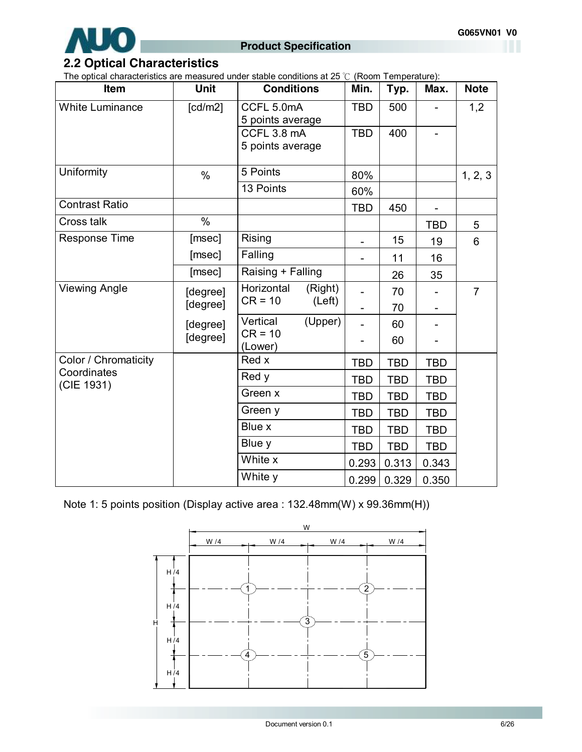

# **2.2 Optical Characteristics**

The optical characteristics are measured under stable conditions at 25 ℃ (Room Temperature):

| <b>Item</b>               | <b>Unit</b>          | <b>Conditions</b>                            | Min.                         | Typ.       | Max.       | <b>Note</b>    |
|---------------------------|----------------------|----------------------------------------------|------------------------------|------------|------------|----------------|
| <b>White Luminance</b>    | [cd/m2]              | CCFL 5.0mA<br>5 points average               | <b>TBD</b>                   | 500        |            | 1,2            |
|                           |                      | CCFL 3.8 mA<br>5 points average              | <b>TBD</b>                   | 400        |            |                |
| Uniformity                | $\%$                 | 5 Points                                     | 80%                          |            |            | 1, 2, 3        |
|                           |                      | 13 Points                                    | 60%                          |            |            |                |
| <b>Contrast Ratio</b>     |                      |                                              | <b>TBD</b>                   | 450        |            |                |
| <b>Cross talk</b>         | $\%$                 |                                              |                              |            | <b>TBD</b> | 5              |
| <b>Response Time</b>      | [msec]               | Rising                                       | $\qquad \qquad \blacksquare$ | 15         | 19         | 6              |
|                           | [msec]               | Falling                                      |                              | 11         | 16         |                |
|                           | [msec]               | Raising + Falling                            |                              | 26         | 35         |                |
| <b>Viewing Angle</b>      | [degree]             | Horizontal<br>(Right)<br>$CR = 10$<br>(Left) |                              | 70         |            | $\overline{7}$ |
|                           | [degree]             |                                              |                              | 70         |            |                |
|                           | [degree]<br>[degree] | Vertical<br>(Upper)<br>$CR = 10$             |                              | 60         |            |                |
|                           |                      | (Lower)                                      |                              | 60         |            |                |
| Color / Chromaticity      |                      | Red x                                        | <b>TBD</b>                   | <b>TBD</b> | <b>TBD</b> |                |
| Coordinates<br>(CIE 1931) |                      | Red y                                        | <b>TBD</b>                   | <b>TBD</b> | <b>TBD</b> |                |
|                           |                      | Green x                                      | <b>TBD</b>                   | <b>TBD</b> | <b>TBD</b> |                |
|                           |                      | Green y                                      | <b>TBD</b>                   | <b>TBD</b> | <b>TBD</b> |                |
|                           |                      | Blue x                                       | <b>TBD</b>                   | <b>TBD</b> | <b>TBD</b> |                |
|                           |                      | Blue y                                       | <b>TBD</b>                   | <b>TBD</b> | <b>TBD</b> |                |
|                           |                      | White x                                      | 0.293                        | 0.313      | 0.343      |                |
|                           |                      | White y                                      | 0.299                        | 0.329      | 0.350      |                |

Note 1: 5 points position (Display active area : 132.48mm(W) x 99.36mm(H))

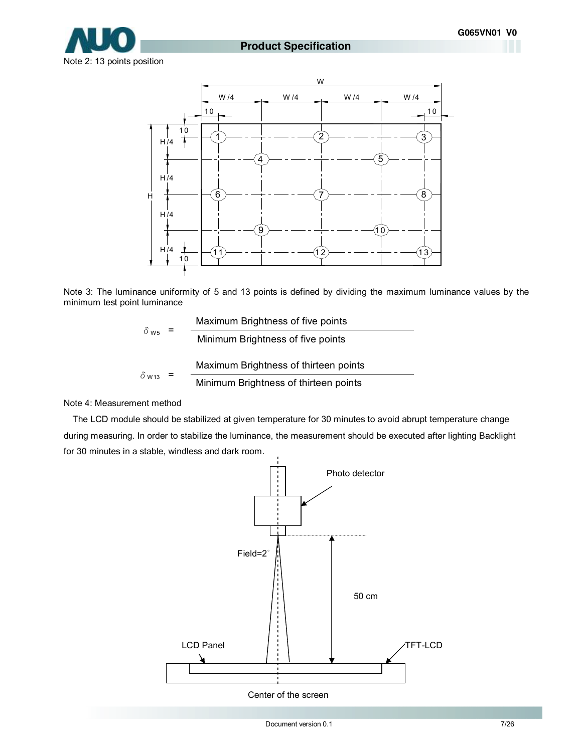

#### **Product Specification**

Note 2: 13 points position



Note 3: The luminance uniformity of 5 and 13 points is defined by dividing the maximum luminance values by the minimum test point luminance

$$
\delta_{\text{W5}} = \frac{\text{Maximum Brightness of five points}}{\text{Minimum Brightness of five points}}
$$
\n
$$
\delta_{\text{W13}} = \frac{\text{Maximum Brightness of thirteen points}}{\text{Minimum Brightness of thirteen points}}
$$

Note 4: Measurement method

The LCD module should be stabilized at given temperature for 30 minutes to avoid abrupt temperature change during measuring. In order to stabilize the luminance, the measurement should be executed after lighting Backlight for 30 minutes in a stable, windless and dark room.



Center of the screen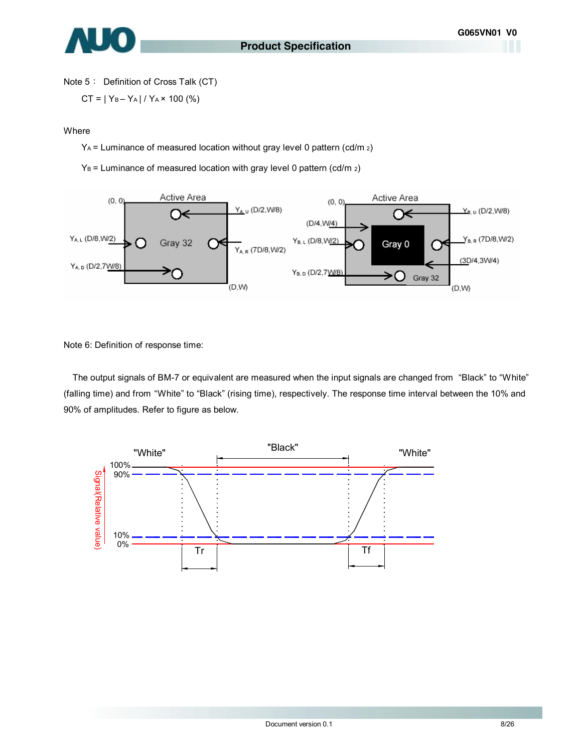

Note 5: Definition of Cross Talk (CT)

$$
CT = |Y_B - Y_A| / Y_A \times 100 \, (%)
$$

#### Where

YA = Luminance of measured location without gray level 0 pattern (cd/m 2)

 $Y_B$  = Luminance of measured location with gray level 0 pattern (cd/m  $_2$ )



Note 6: Definition of response time:

The output signals of BM-7 or equivalent are measured when the input signals are changed from "Black" to "White" (falling time) and from "White" to "Black" (rising time), respectively. The response time interval between the 10% and 90% of amplitudes. Refer to figure as below.

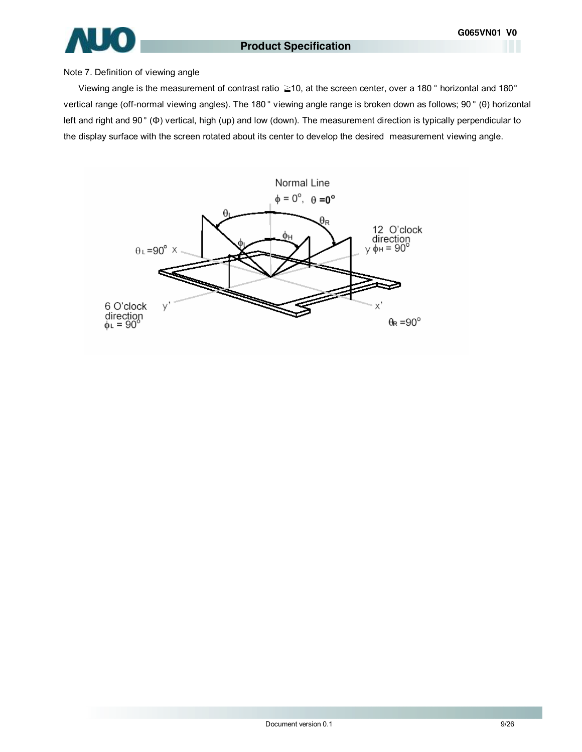

#### Note 7. Definition of viewing angle

Viewing angle is the measurement of contrast ratio ≧10, at the screen center, over a 180 ° horizontal and 180° vertical range (off-normal viewing angles). The 180 ° viewing angle range is broken down as follows; 90 ° (θ) horizontal left and right and 90° (Φ) vertical, high (up) and low (down). The measurement direction is typically perpendicular to the display surface with the screen rotated about its center to develop the desired measurement viewing angle.

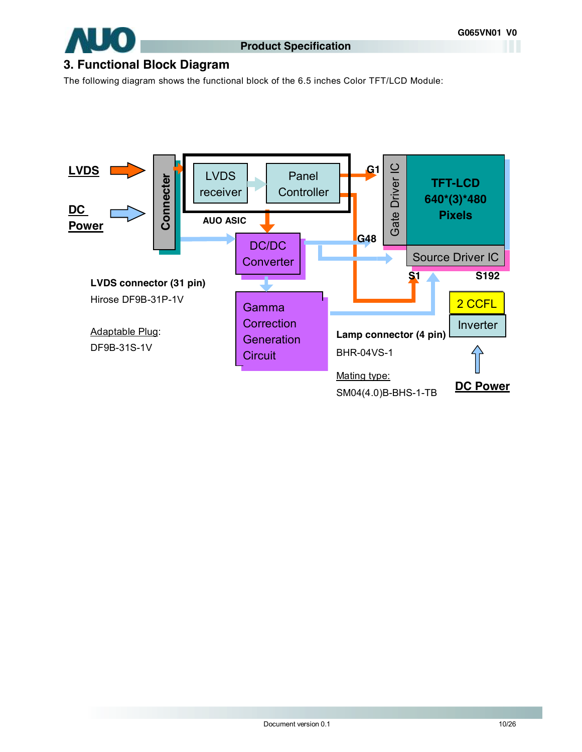

### **3. Functional Block Diagram**

The following diagram shows the functional block of the 6.5 inches Color TFT/LCD Module:

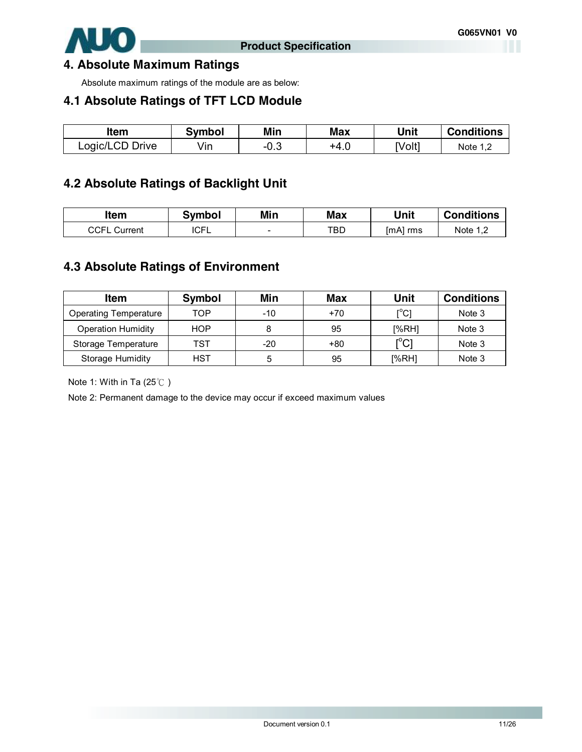

### **4. Absolute Maximum Ratings**

Absolute maximum ratings of the module are as below:

### **4.1 Absolute Ratings of TFT LCD Module**

| ltem            | Svmbol | Min  | <b>Max</b> | Unit   | <b>Conditions</b> |
|-----------------|--------|------|------------|--------|-------------------|
| Logic/LCD Drive | √in    | −∪.ບ | +4.U       | [Volt] | Note 1 1          |

### **4.2 Absolute Ratings of Backlight Unit**

| ltem                | <b>Symbol</b> | Min                      | <b>Max</b> | Unit     | <b>Conditions</b> |
|---------------------|---------------|--------------------------|------------|----------|-------------------|
| <b>CCFL Current</b> | <b>ICFL</b>   | $\overline{\phantom{0}}$ | TBD        | [mA] rms | Note 1 1          |

### **4.3 Absolute Ratings of Environment**

| Item                         | <b>Symbol</b> | Min | Max   | Unit                                        | <b>Conditions</b> |
|------------------------------|---------------|-----|-------|---------------------------------------------|-------------------|
| <b>Operating Temperature</b> | TOP           | -10 | $+70$ | $\mathsf{I}^\circ\mathsf{C}$                | Note 3            |
| <b>Operation Humidity</b>    | <b>HOP</b>    |     | 95    | [%RH]                                       | Note 3            |
| Storage Temperature          | TST           | -20 | $+80$ | $\mathop{\rm l\mskip -3.5mu\rm C}\nolimits$ | Note 3            |
| Storage Humidity             | HST           | 5   | 95    | [%RH]                                       | Note 3            |

Note 1: With in Ta (25℃ )

Note 2: Permanent damage to the device may occur if exceed maximum values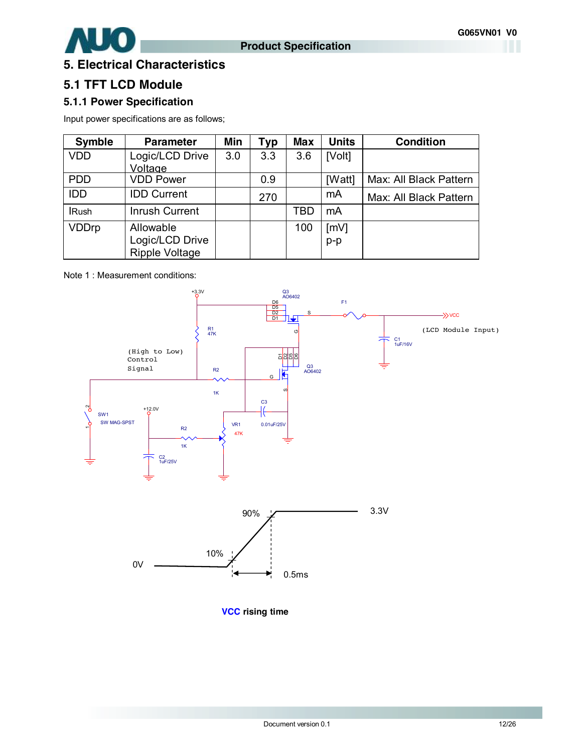



# **5. Electrical Characteristics**

### **5.1 TFT LCD Module**

### **5.1.1 Power Specification**

Input power specifications are as follows;

| <b>Symble</b> | <b>Parameter</b>      | Min | Typ | <b>Max</b> | <b>Units</b> | <b>Condition</b>       |
|---------------|-----------------------|-----|-----|------------|--------------|------------------------|
| <b>VDD</b>    | Logic/LCD Drive       | 3.0 | 3.3 | 3.6        | [Volt]       |                        |
|               | Voltage               |     |     |            |              |                        |
| <b>PDD</b>    | <b>VDD Power</b>      |     | 0.9 |            | [Watt]       | Max: All Black Pattern |
| <b>IDD</b>    | <b>IDD Current</b>    |     | 270 |            | mA           | Max: All Black Pattern |
| <b>IRush</b>  | Inrush Current        |     |     | TBD        | mA           |                        |
| <b>VDDrp</b>  | Allowable             |     |     | 100        | [mV]         |                        |
|               | Logic/LCD Drive       |     |     |            | $p-p$        |                        |
|               | <b>Ripple Voltage</b> |     |     |            |              |                        |

Note 1 : Measurement conditions:



**VCC rising time**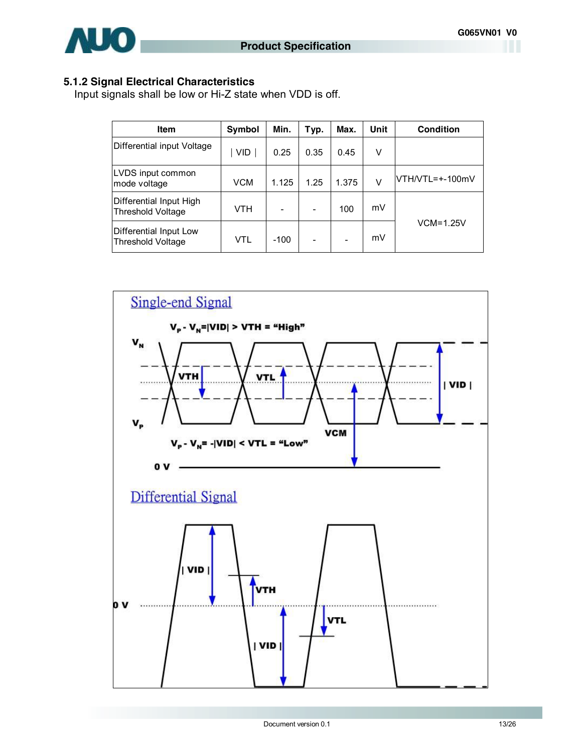#### **5.1.2 Signal Electrical Characteristics**

Input signals shall be low or Hi-Z state when VDD is off.

| <b>Item</b>                                  | Symbol     | Min.   | Typ. | Max.  | Unit | <b>Condition</b> |
|----------------------------------------------|------------|--------|------|-------|------|------------------|
| Differential input Voltage                   | <b>VID</b> | 0.25   | 0.35 | 0.45  | v    |                  |
| LVDS input common<br>mode voltage            | <b>VCM</b> | 1.125  | 1.25 | 1.375 | V    | VTH/VTL=+-100mV  |
| Differential Input High<br>Threshold Voltage | <b>VTH</b> |        |      | 100   | mV   |                  |
| Differential Input Low<br>Threshold Voltage  | VTL        | $-100$ |      |       | mV   | $VCM=1.25V$      |

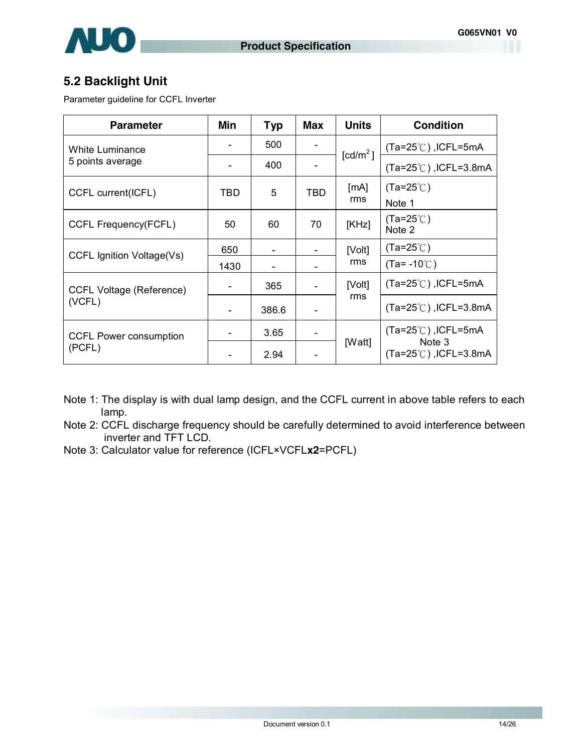

### **5.2 Backlight Unit**

Parameter guideline for CCFL Inverter

| <b>Parameter</b>                | Min  | <b>Typ</b> | <b>Max</b> | <b>Units</b>         | <b>Condition</b>                          |
|---------------------------------|------|------------|------------|----------------------|-------------------------------------------|
| White Luminance                 |      | 500        |            | [cd/m <sup>2</sup> ] | $(Ta=25^{\circ}C)$ , ICFL=5mA             |
| 5 points average                |      | 400        |            |                      | $(Ta=25^{\circ}$ C), ICFL=3.8mA           |
| CCFL current(ICFL)              | TBD  | 5          | TBD        | [mA]                 | $(Ta=25^{\circ}C)$                        |
|                                 |      |            |            | rms                  | Note 1                                    |
| CCFL Frequency(FCFL)            | 50   | 60         | 70         | [KHz]                | $(Ta=25^{\circ}C)$<br>Note 2              |
| CCFL Ignition Voltage(Vs)       | 650  |            |            | [Volt]               | $(Ta=25^{\circ}$ C)                       |
|                                 | 1430 |            |            | rms                  | $(Ta = -10^{\circ}$                       |
| <b>CCFL Voltage (Reference)</b> |      | 365        |            | [Volt]               | $(Ta=25^{\circ}C)$ , ICFL=5mA             |
| (VCFL)                          |      | 386.6      |            | rms                  | $(Ta=25^{\circ}$ C), ICFL=3.8mA           |
| <b>CCFL Power consumption</b>   |      | 3.65       |            |                      | $(Ta=25^{\circ}$ C), ICFL=5mA             |
| (PCFL)                          |      | 2.94       |            | [Watt]               | Note 3<br>$(Ta=25^{\circ}$ C), ICFL=3.8mA |

Note 1: The display is with dual lamp design, and the CCFL current in above table refers to each lamp.

Note 2: CCFL discharge frequency should be carefully determined to avoid interference between inverter and TFT LCD.

Note 3: Calculator value for reference (ICFL×VCFL**x2**=PCFL)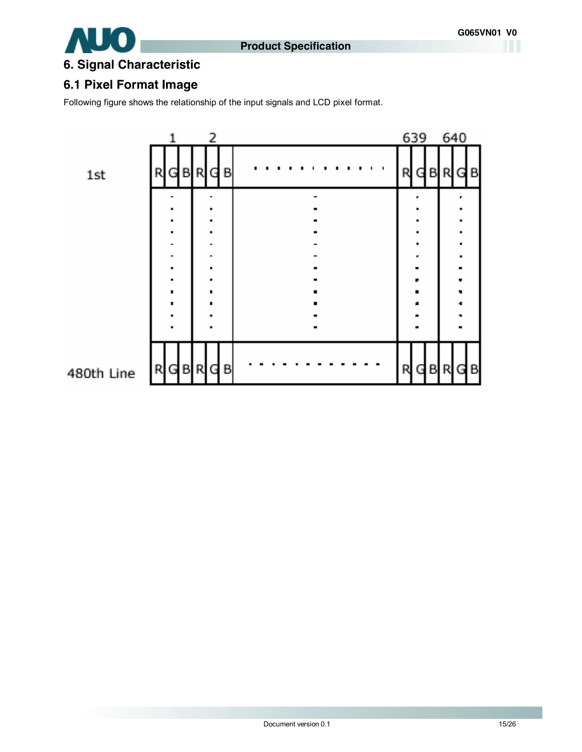

# **6. Signal Characteristic**

# **6.1 Pixel Format Image**

Following figure shows the relationship of the input signals and LCD pixel format.

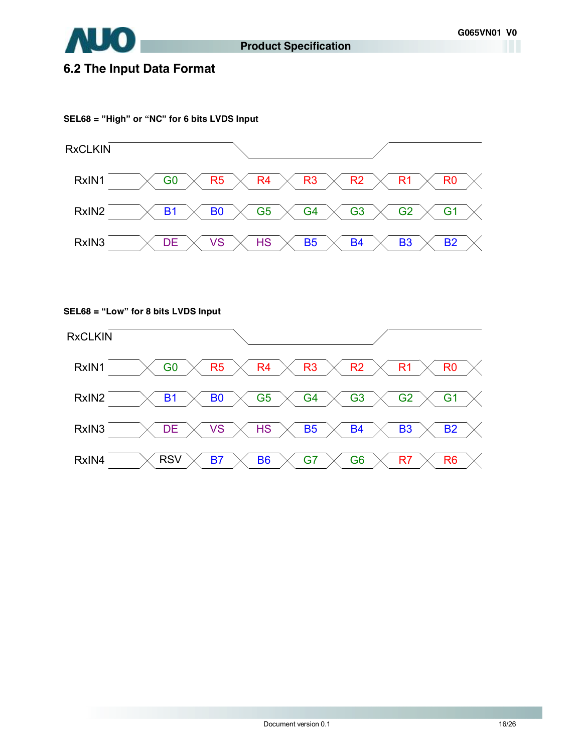

# **6.2 The Input Data Format**

#### **SEL68 = "High" or "NC" for 6 bits LVDS Input**



**SEL68 = "Low" for 8 bits LVDS Input** 

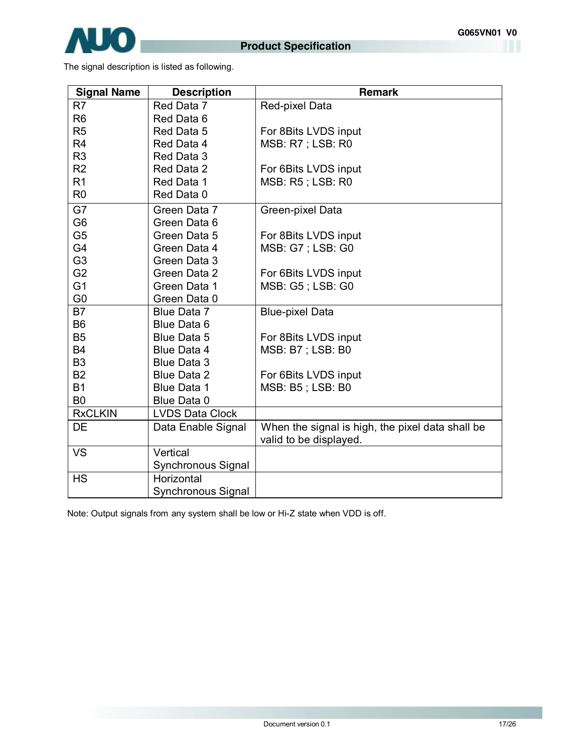

The signal description is listed as following.

| <b>Signal Name</b> | <b>Description</b>     | <b>Remark</b>                                    |
|--------------------|------------------------|--------------------------------------------------|
| R <sub>7</sub>     | Red Data 7             | Red-pixel Data                                   |
| R <sub>6</sub>     | Red Data 6             |                                                  |
| R <sub>5</sub>     | Red Data 5             | For 8Bits LVDS input                             |
| R <sub>4</sub>     | Red Data 4             | MSB: R7; LSB: R0                                 |
| R <sub>3</sub>     | Red Data 3             |                                                  |
| R <sub>2</sub>     | Red Data 2             | For 6Bits LVDS input                             |
| R <sub>1</sub>     | Red Data 1             | <b>MSB: R5; LSB: R0</b>                          |
| R <sub>0</sub>     | Red Data 0             |                                                  |
| G7                 | Green Data 7           | Green-pixel Data                                 |
| G <sub>6</sub>     | Green Data 6           |                                                  |
| G <sub>5</sub>     | Green Data 5           | For 8Bits LVDS input                             |
| G4                 | Green Data 4           | <b>MSB: G7; LSB: G0</b>                          |
| G <sub>3</sub>     | Green Data 3           |                                                  |
| G <sub>2</sub>     | Green Data 2           | For 6Bits LVDS input                             |
| G <sub>1</sub>     | Green Data 1           | MSB: G5; LSB: G0                                 |
| G <sub>0</sub>     | Green Data 0           |                                                  |
| <b>B7</b>          | Blue Data 7            | <b>Blue-pixel Data</b>                           |
| B <sub>6</sub>     | Blue Data 6            |                                                  |
| <b>B5</b>          | Blue Data 5            | For 8Bits LVDS input                             |
| <b>B4</b>          | Blue Data 4            | MSB: B7 ; LSB: B0                                |
| B <sub>3</sub>     | <b>Blue Data 3</b>     |                                                  |
| <b>B2</b>          | <b>Blue Data 2</b>     | For 6Bits LVDS input                             |
| <b>B1</b>          | Blue Data 1            | MSB: B5; LSB: B0                                 |
| B <sub>0</sub>     | Blue Data 0            |                                                  |
| <b>RxCLKIN</b>     | <b>LVDS Data Clock</b> |                                                  |
| <b>DE</b>          | Data Enable Signal     | When the signal is high, the pixel data shall be |
|                    |                        | valid to be displayed.                           |
| <b>VS</b>          | Vertical               |                                                  |
|                    | Synchronous Signal     |                                                  |
| <b>HS</b>          | Horizontal             |                                                  |
|                    | Synchronous Signal     |                                                  |

Note: Output signals from any system shall be low or Hi-Z state when VDD is off.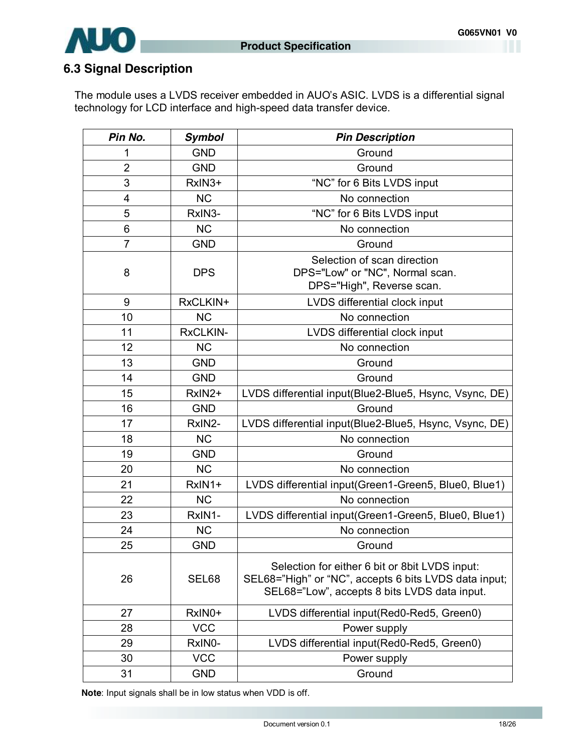

# **6.3 Signal Description**

The module uses a LVDS receiver embedded in AUO's ASIC. LVDS is a differential signal technology for LCD interface and high-speed data transfer device.

| Pin No.        | Symbol     | <b>Pin Description</b>                                                                                                                                  |
|----------------|------------|---------------------------------------------------------------------------------------------------------------------------------------------------------|
|                | <b>GND</b> | Ground                                                                                                                                                  |
| $\overline{2}$ | <b>GND</b> | Ground                                                                                                                                                  |
| $\sqrt{3}$     | RxIN3+     | "NC" for 6 Bits LVDS input                                                                                                                              |
| $\overline{4}$ | NC         | No connection                                                                                                                                           |
| $\sqrt{5}$     | RxIN3-     | "NC" for 6 Bits LVDS input                                                                                                                              |
| $6\,$          | NC         | No connection                                                                                                                                           |
| $\overline{7}$ | <b>GND</b> | Ground                                                                                                                                                  |
| 8              | <b>DPS</b> | Selection of scan direction<br>DPS="Low" or "NC", Normal scan.<br>DPS="High", Reverse scan.                                                             |
| 9              | RxCLKIN+   | LVDS differential clock input                                                                                                                           |
| 10             | NC         | No connection                                                                                                                                           |
| 11             | RxCLKIN-   | LVDS differential clock input                                                                                                                           |
| 12             | NC         | No connection                                                                                                                                           |
| 13             | <b>GND</b> | Ground                                                                                                                                                  |
| 14             | <b>GND</b> | Ground                                                                                                                                                  |
| 15             | RxIN2+     | LVDS differential input(Blue2-Blue5, Hsync, Vsync, DE)                                                                                                  |
| 16             | <b>GND</b> | Ground                                                                                                                                                  |
| 17             | RxIN2-     | LVDS differential input(Blue2-Blue5, Hsync, Vsync, DE)                                                                                                  |
| 18             | NC         | No connection                                                                                                                                           |
| 19             | <b>GND</b> | Ground                                                                                                                                                  |
| 20             | <b>NC</b>  | No connection                                                                                                                                           |
| 21             | RxIN1+     | LVDS differential input(Green1-Green5, Blue0, Blue1)                                                                                                    |
| 22             | <b>NC</b>  | No connection                                                                                                                                           |
| 23             | RxIN1-     | LVDS differential input(Green1-Green5, Blue0, Blue1)                                                                                                    |
| 24             | NC         | No connection                                                                                                                                           |
| 25             | <b>GND</b> | Ground                                                                                                                                                  |
| 26             | SEL68      | Selection for either 6 bit or 8bit LVDS input:<br>SEL68="High" or "NC", accepts 6 bits LVDS data input;<br>SEL68="Low", accepts 8 bits LVDS data input. |
| 27             | RxIN0+     | LVDS differential input(Red0-Red5, Green0)                                                                                                              |
| 28             | <b>VCC</b> | Power supply                                                                                                                                            |
| 29             | RxIN0-     | LVDS differential input(Red0-Red5, Green0)                                                                                                              |
| 30             | <b>VCC</b> | Power supply                                                                                                                                            |
| 31             | <b>GND</b> | Ground                                                                                                                                                  |

**Note**: Input signals shall be in low status when VDD is off.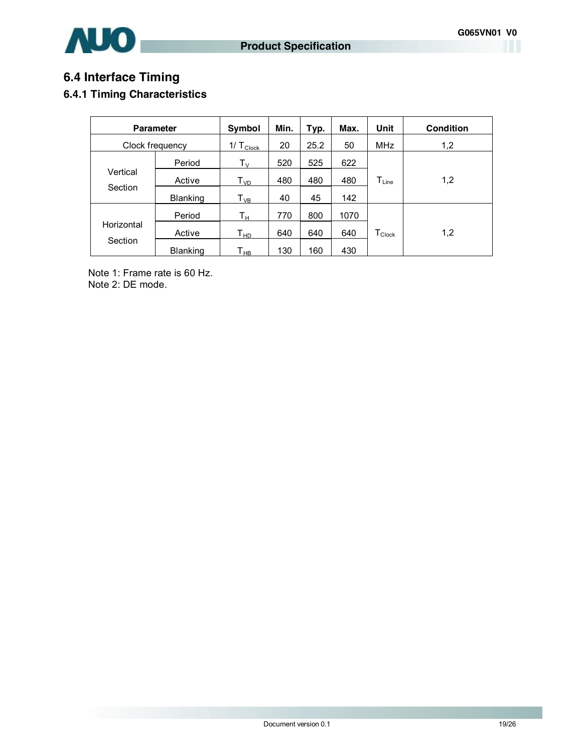

# **6.4 Interface Timing**

### **6.4.1 Timing Characteristics**

| <b>Parameter</b>      |                 | Symbol                      | Min. | Typ. | Max. | Unit                 | <b>Condition</b> |
|-----------------------|-----------------|-----------------------------|------|------|------|----------------------|------------------|
| Clock frequency       |                 | 1/ $T_{\text{Clock}}$       | 20   | 25.2 | 50   | <b>MHz</b>           | 1,2              |
|                       | Period          | $T_V$                       | 520  | 525  | 622  |                      |                  |
| Vertical              | Active          | $\mathsf{T}_{\mathsf{VD}}$  | 480  | 480  | 480  | $T_{Line}$           | 1,2              |
| Section               | <b>Blanking</b> | ${\mathsf T}_{\mathsf{VB}}$ | 40   | 45   | 142  |                      |                  |
|                       | Period          | Tн                          | 770  | 800  | 1070 |                      |                  |
| Horizontal<br>Section | Active          | Т <sub>нр</sub>             | 640  | 640  | 640  | $T_{\mathsf{Clock}}$ | 1,2              |
|                       | <b>Blanking</b> | Т <sub>нв</sub>             | 130  | 160  | 430  |                      |                  |

Note 1: Frame rate is 60 Hz. Note 2: DE mode.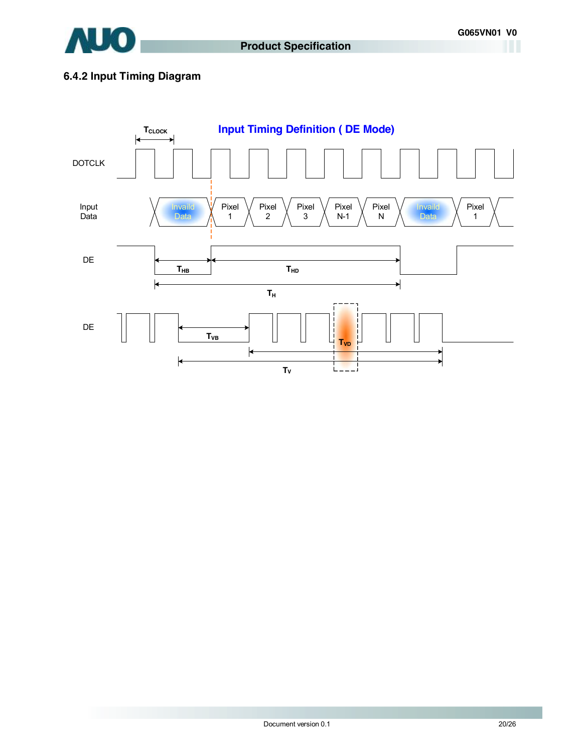

### **6.4.2 Input Timing Diagram**

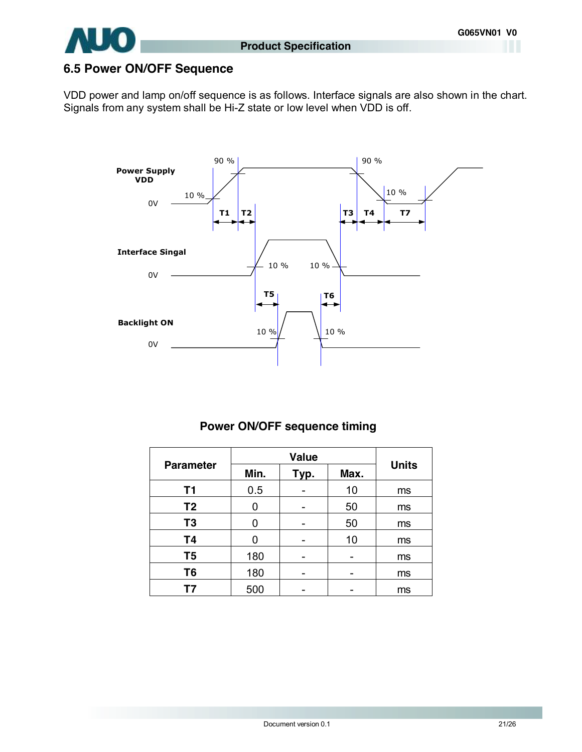

# **6.5 Power ON/OFF Sequence**

VDD power and lamp on/off sequence is as follows. Interface signals are also shown in the chart. Signals from any system shall be Hi-Z state or low level when VDD is off.



### **Power ON/OFF sequence timing**

|                  |      | <b>Units</b> |      |    |
|------------------|------|--------------|------|----|
| <b>Parameter</b> | Min. | Typ.         | Max. |    |
| <b>T1</b>        | 0.5  |              | 10   | ms |
| T <sub>2</sub>   | 0    |              | 50   | ms |
| T <sub>3</sub>   | 0    |              | 50   | ms |
| <b>T4</b>        | 0    |              | 10   | ms |
| T <sub>5</sub>   | 180  |              |      | ms |
| T <sub>6</sub>   | 180  |              |      | ms |
| Τ7               | 500  |              |      | ms |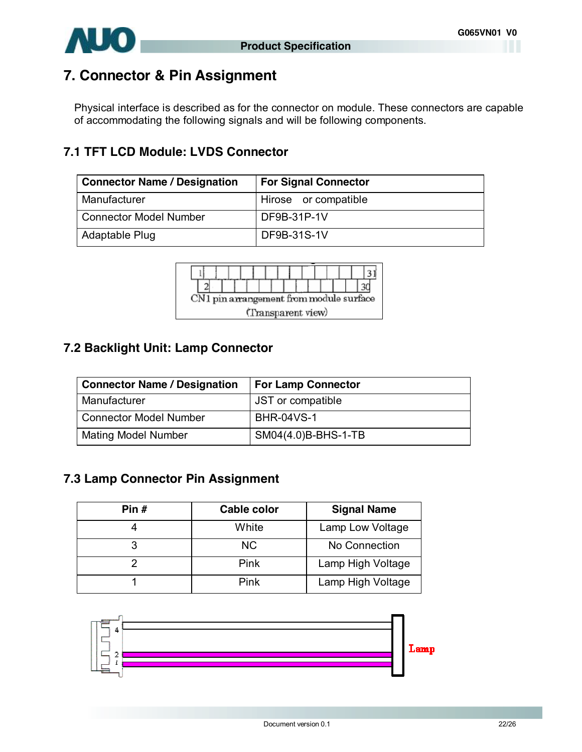



# **7. Connector & Pin Assignment**

Physical interface is described as for the connector on module. These connectors are capable of accommodating the following signals and will be following components.

# **7.1 TFT LCD Module: LVDS Connector**

| <b>Connector Name / Designation</b> | <b>For Signal Connector</b> |
|-------------------------------------|-----------------------------|
| Manufacturer                        | Hirose or compatible        |
| <b>Connector Model Number</b>       | DF9B-31P-1V                 |
| Adaptable Plug                      | DF9B-31S-1V                 |



# **7.2 Backlight Unit: Lamp Connector**

| <b>Connector Name / Designation</b> | <b>For Lamp Connector</b> |
|-------------------------------------|---------------------------|
| Manufacturer                        | JST or compatible         |
| <b>Connector Model Number</b>       | <b>BHR-04VS-1</b>         |
| <b>Mating Model Number</b>          | SM04(4.0)B-BHS-1-TB       |

# **7.3 Lamp Connector Pin Assignment**

| Pin $#$ | <b>Cable color</b> | <b>Signal Name</b> |
|---------|--------------------|--------------------|
|         | White              | Lamp Low Voltage   |
|         | <b>NC</b>          | No Connection      |
|         | Pink               | Lamp High Voltage  |
|         | Pink               | Lamp High Voltage  |

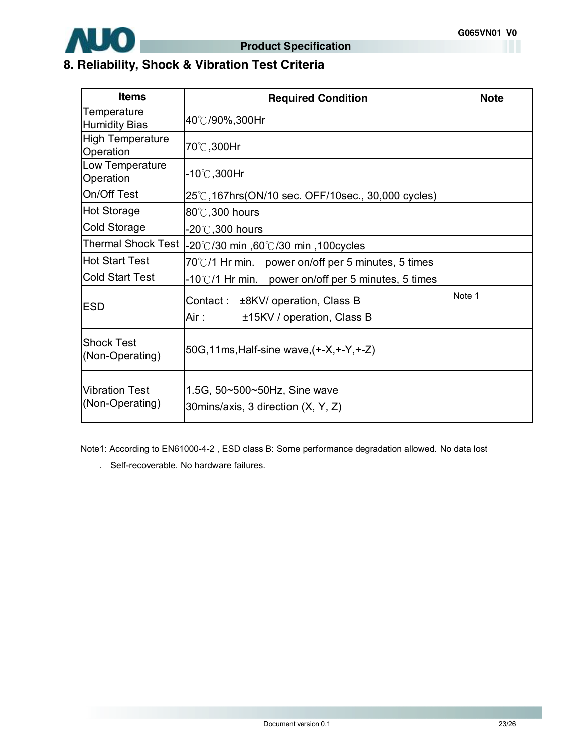

# **8. Reliability, Shock & Vibration Test Criteria**

| <b>Items</b>                             | <b>Required Condition</b>                                                | <b>Note</b> |
|------------------------------------------|--------------------------------------------------------------------------|-------------|
| Temperature<br><b>Humidity Bias</b>      | 40℃/90%,300Hr                                                            |             |
| <b>High Temperature</b><br>Operation     | 70℃,300Hr                                                                |             |
| Low Temperature<br>Operation             | -10℃,300Hr                                                               |             |
| On/Off Test                              | 25℃,167hrs(ON/10 sec. OFF/10sec., 30,000 cycles)                         |             |
| <b>Hot Storage</b>                       | 80°C, 300 hours                                                          |             |
| Cold Storage                             | -20 $^\circ\!{\rm C}$ ,300 hours                                         |             |
| <b>Thermal Shock Test</b>                | -20℃/30 min ,60℃/30 min ,100cycles                                       |             |
| <b>Hot Start Test</b>                    | 70°C/1 Hr min. power on/off per 5 minutes, 5 times                       |             |
| <b>Cold Start Test</b>                   | $-10^{\circ}$ C/1 Hr min. power on/off per 5 minutes, 5 times            |             |
| <b>ESD</b>                               | Contact: ±8KV/ operation, Class B<br>Air :<br>±15KV / operation, Class B | Note 1      |
| <b>Shock Test</b><br>(Non-Operating)     | 50G, 11ms, Half-sine wave, (+-X, +-Y, +-Z)                               |             |
| <b>Vibration Test</b><br>(Non-Operating) | 1.5G, 50~500~50Hz, Sine wave<br>30 mins/axis, 3 direction (X, Y, Z)      |             |

Note1: According to EN61000-4-2 , ESD class B: Some performance degradation allowed. No data lost

. Self-recoverable. No hardware failures.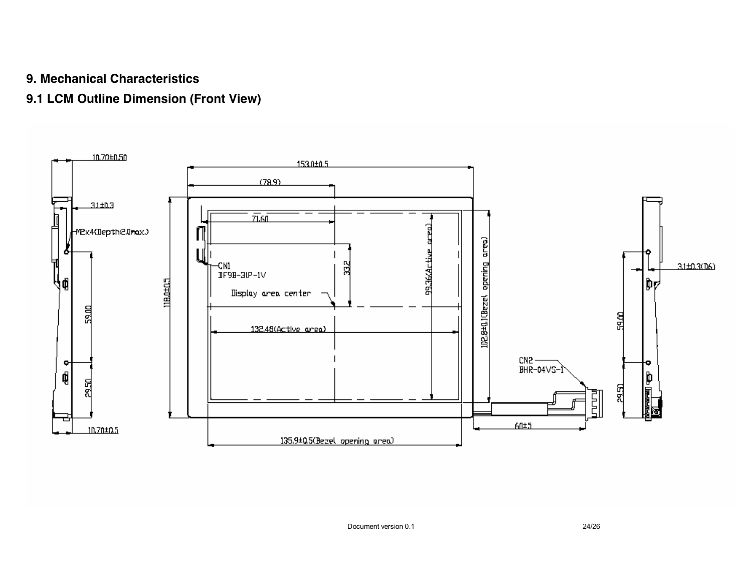# **9. Mechanical Characteristics**

# **9.1 LCM Outline Dimension (Front View)**

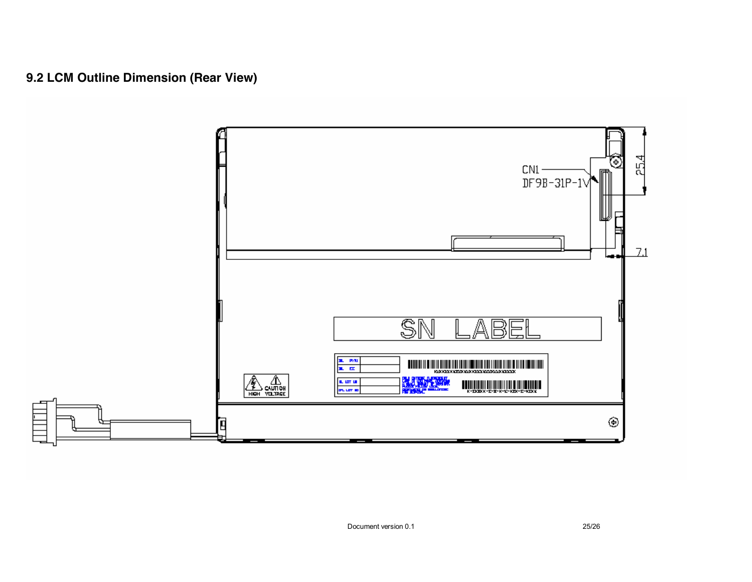